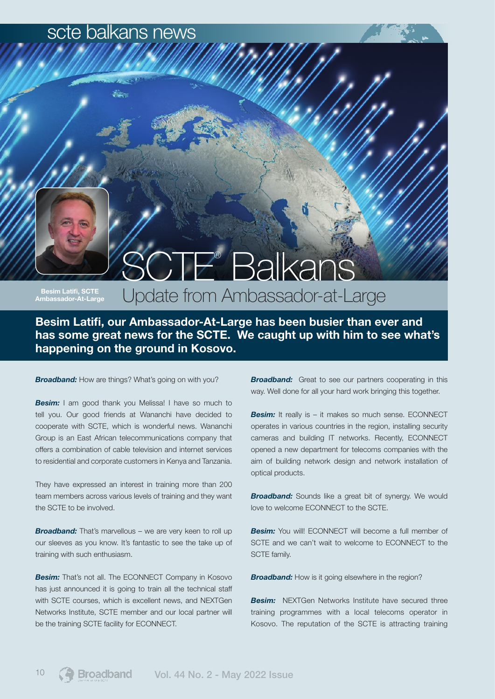#### scte balkans news

# SCTE® Balkans

Besim Latifi, SCTE Ambassador-At-Large

## Update from Ambassador-at-Large

Besim Latifi, our Ambassador-At-Large has been busier than ever and has some great news for the SCTE. We caught up with him to see what's happening on the ground in Kosovo.

**Broadband:** How are things? What's going on with you?

**Besim:** I am good thank you Melissa! I have so much to tell you. Our good friends at Wananchi have decided to cooperate with SCTE, which is wonderful news. Wananchi Group is an East African telecommunications company that offers a combination of cable television and internet services to residential and corporate customers in Kenya and Tanzania.

They have expressed an interest in training more than 200 team members across various levels of training and they want the SCTE to be involved.

*Broadband:* That's marvellous – we are very keen to roll up our sleeves as you know. It's fantastic to see the take up of training with such enthusiasm.

*Besim:* That's not all. The ECONNECT Company in Kosovo has just announced it is going to train all the technical staff with SCTE courses, which is excellent news, and NEXTGen Networks Institute, SCTE member and our local partner will be the training SCTE facility for ECONNECT.

**Broadband:** Great to see our partners cooperating in this way. Well done for all your hard work bringing this together.

**Besim:** It really is – it makes so much sense. ECONNECT operates in various countries in the region, installing security cameras and building IT networks. Recently, ECONNECT opened a new department for telecoms companies with the aim of building network design and network installation of optical products.

**Broadband:** Sounds like a great bit of synergy. We would love to welcome ECONNECT to the SCTE.

**Besim:** You will! ECONNECT will become a full member of SCTE and we can't wait to welcome to ECONNECT to the SCTE family.

**Broadband:** How is it going elsewhere in the region?

**Besim:** NEXTGen Networks Institute have secured three training programmes with a local telecoms operator in Kosovo. The reputation of the SCTE is attracting training